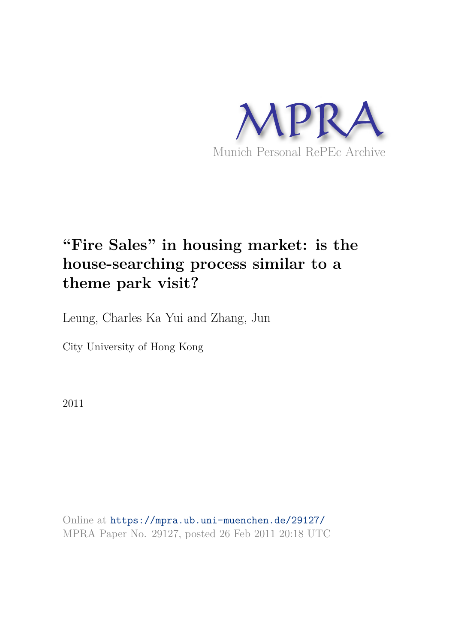

# **"Fire Sales" in housing market: is the house-searching process similar to a theme park visit?**

Leung, Charles Ka Yui and Zhang, Jun

City University of Hong Kong

2011

Online at https://mpra.ub.uni-muenchen.de/29127/ MPRA Paper No. 29127, posted 26 Feb 2011 20:18 UTC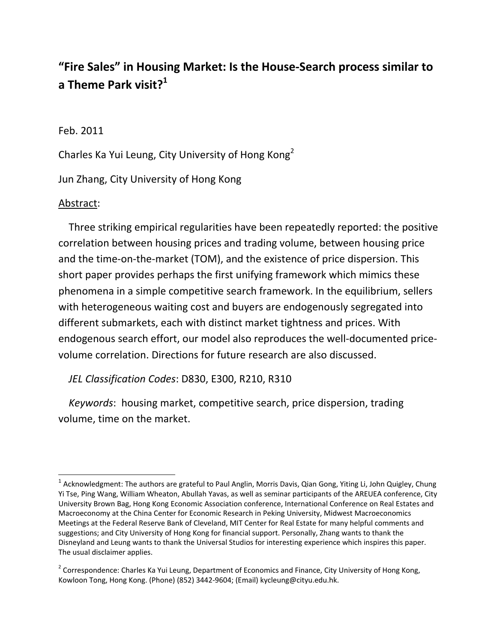# **"Fire Sales" in Housing Market: Is the House‐Search process similar to a Theme Park visit?<sup>1</sup>**

# Feb. 2011

Charles Ka Yui Leung, City University of Hong Kong<sup>2</sup>

Jun Zhang, City University of Hong Kong

# Abstract:

 Three striking empirical regularities have been repeatedly reported: the positive correlation between housing prices and trading volume, between housing price and the time‐on‐the‐market (TOM), and the existence of price dispersion. This short paper provides perhaps the first unifying framework which mimics these phenomena in a simple competitive search framework. In the equilibrium, sellers with heterogeneous waiting cost and buyers are endogenously segregated into different submarkets, each with distinct market tightness and prices. With endogenous search effort, our model also reproduces the well-documented pricevolume correlation. Directions for future research are also discussed.

*JEL Classification Codes*: D830, E300, R210, R310

 *Keywords*: housing market, competitive search, price dispersion, trading volume, time on the market.

<sup>&</sup>lt;sup>1</sup> Acknowledgment: The authors are grateful to Paul Anglin, Morris Davis, Qian Gong, Yiting Li, John Quigley, Chung Yi Tse, Ping Wang, William Wheaton, Abullah Yavas, as well as seminar participants of the AREUEA conference, City University Brown Bag, Hong Kong Economic Association conference, International Conference on Real Estates and Macroeconomy at the China Center for Economic Research in Peking University, Midwest Macroeconomics Meetings at the Federal Reserve Bank of Cleveland, MIT Center for Real Estate for many helpful comments and suggestions; and City University of Hong Kong for financial support. Personally, Zhang wants to thank the Disneyland and Leung wants to thank the Universal Studios for interesting experience which inspires this paper. The usual disclaimer applies.

<sup>&</sup>lt;sup>2</sup> Correspondence: Charles Ka Yui Leung, Department of Economics and Finance, City University of Hong Kong, Kowloon Tong, Hong Kong. (Phone) (852) 3442‐9604; (Email) kycleung@cityu.edu.hk.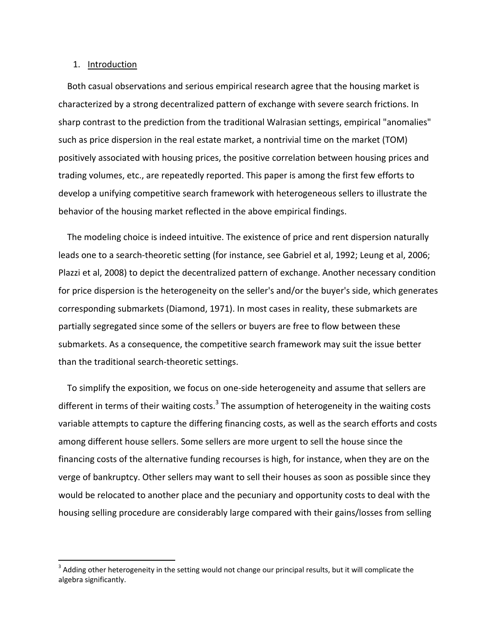#### 1. Introduction

 Both casual observations and serious empirical research agree that the housing market is characterized by a strong decentralized pattern of exchange with severe search frictions. In sharp contrast to the prediction from the traditional Walrasian settings, empirical "anomalies" such as price dispersion in the real estate market, a nontrivial time on the market (TOM) positively associated with housing prices, the positive correlation between housing prices and trading volumes, etc., are repeatedly reported. This paper is among the first few efforts to develop a unifying competitive search framework with heterogeneous sellers to illustrate the behavior of the housing market reflected in the above empirical findings.

 The modeling choice is indeed intuitive. The existence of price and rent dispersion naturally leads one to a search-theoretic setting (for instance, see Gabriel et al, 1992; Leung et al, 2006; Plazzi et al, 2008) to depict the decentralized pattern of exchange. Another necessary condition for price dispersion is the heterogeneity on the seller's and/or the buyer's side, which generates corresponding submarkets (Diamond, 1971). In most cases in reality, these submarkets are partially segregated since some of the sellers or buyers are free to flow between these submarkets. As a consequence, the competitive search framework may suit the issue better than the traditional search‐theoretic settings.

 To simplify the exposition, we focus on one‐side heterogeneity and assume that sellers are different in terms of their waiting costs.<sup>3</sup> The assumption of heterogeneity in the waiting costs variable attempts to capture the differing financing costs, as well as the search efforts and costs among different house sellers. Some sellers are more urgent to sell the house since the financing costs of the alternative funding recourses is high, for instance, when they are on the verge of bankruptcy. Other sellers may want to sell their houses as soon as possible since they would be relocated to another place and the pecuniary and opportunity costs to deal with the housing selling procedure are considerably large compared with their gains/losses from selling

 $3$  Adding other heterogeneity in the setting would not change our principal results, but it will complicate the algebra significantly.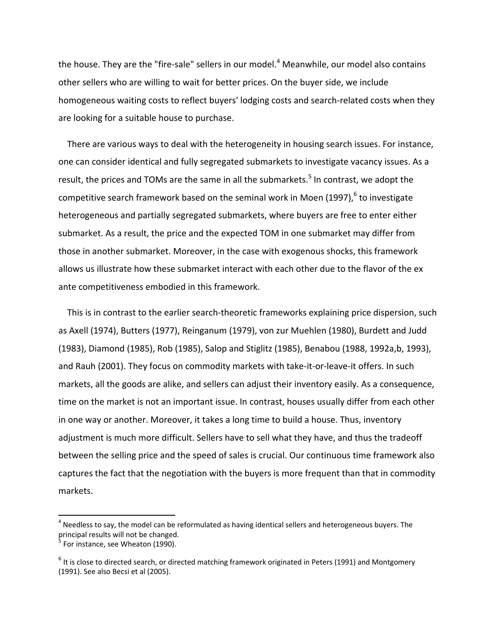the house. They are the "fire-sale" sellers in our model. $4$  Meanwhile, our model also contains other sellers who are willing to wait for better prices. On the buyer side, we include homogeneous waiting costs to reflect buyers' lodging costs and search-related costs when they are looking for a suitable house to purchase.

 There are various ways to deal with the heterogeneity in housing search issues. For instance, one can consider identical and fully segregated submarkets to investigate vacancy issues. As a result, the prices and TOMs are the same in all the submarkets.<sup>5</sup> In contrast, we adopt the competitive search framework based on the seminal work in Moen (1997), $^6$  to investigate heterogeneous and partially segregated submarkets, where buyers are free to enter either submarket. As a result, the price and the expected TOM in one submarket may differ from those in another submarket. Moreover, in the case with exogenous shocks, this framework allows us illustrate how these submarket interact with each other due to the flavor of the ex ante competitiveness embodied in this framework.

This is in contrast to the earlier search-theoretic frameworks explaining price dispersion, such as Axell (1974), Butters (1977), Reinganum (1979), von zur Muehlen (1980), Burdett and Judd (1983), Diamond (1985), Rob (1985), Salop and Stiglitz (1985), Benabou (1988, 1992a,b, 1993), and Rauh (2001). They focus on commodity markets with take‐it‐or‐leave‐it offers. In such markets, all the goods are alike, and sellers can adjust their inventory easily. As a consequence, time on the market is not an important issue. In contrast, houses usually differ from each other in one way or another. Moreover, it takes a long time to build a house. Thus, inventory adjustment is much more difficult. Sellers have to sell what they have, and thus the tradeoff between the selling price and the speed of sales is crucial. Our continuous time framework also captures the fact that the negotiation with the buyers is more frequent than that in commodity markets.

 $^4$  Needless to say, the model can be reformulated as having identical sellers and heterogeneous buyers. The principal results will not be changed.

<sup>&</sup>lt;sup>5</sup> For instance, see Wheaton (1990).

 $^6$  It is close to directed search, or directed matching framework originated in Peters (1991) and Montgomery (1991). See also Becsi et al (2005).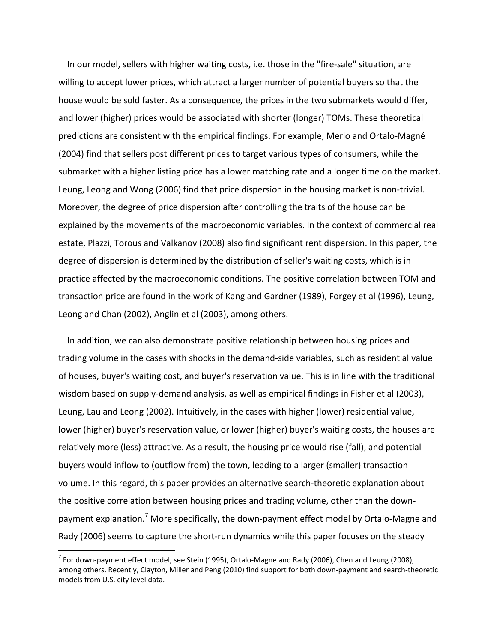In our model, sellers with higher waiting costs, i.e. those in the "fire‐sale" situation, are willing to accept lower prices, which attract a larger number of potential buyers so that the house would be sold faster. As a consequence, the prices in the two submarkets would differ, and lower (higher) prices would be associated with shorter (longer) TOMs. These theoretical predictions are consistent with the empirical findings. For example, Merlo and Ortalo‐Magné (2004) find that sellers post different prices to target various types of consumers, while the submarket with a higher listing price has a lower matching rate and a longer time on the market. Leung, Leong and Wong (2006) find that price dispersion in the housing market is non‐trivial. Moreover, the degree of price dispersion after controlling the traits of the house can be explained by the movements of the macroeconomic variables. In the context of commercial real estate, Plazzi, Torous and Valkanov (2008) also find significant rent dispersion. In this paper, the degree of dispersion is determined by the distribution of seller's waiting costs, which is in practice affected by the macroeconomic conditions. The positive correlation between TOM and transaction price are found in the work of Kang and Gardner (1989), Forgey et al (1996), Leung, Leong and Chan (2002), Anglin et al (2003), among others.

 In addition, we can also demonstrate positive relationship between housing prices and trading volume in the cases with shocks in the demand‐side variables, such as residential value of houses, buyer's waiting cost, and buyer's reservation value. This is in line with the traditional wisdom based on supply-demand analysis, as well as empirical findings in Fisher et al (2003), Leung, Lau and Leong (2002). Intuitively, in the cases with higher (lower) residential value, lower (higher) buyer's reservation value, or lower (higher) buyer's waiting costs, the houses are relatively more (less) attractive. As a result, the housing price would rise (fall), and potential buyers would inflow to (outflow from) the town, leading to a larger (smaller) transaction volume. In this regard, this paper provides an alternative search-theoretic explanation about the positive correlation between housing prices and trading volume, other than the down‐ payment explanation.<sup>7</sup> More specifically, the down-payment effect model by Ortalo-Magne and Rady (2006) seems to capture the short-run dynamics while this paper focuses on the steady

 $^7$  For down-payment effect model, see Stein (1995), Ortalo-Magne and Rady (2006), Chen and Leung (2008), among others. Recently, Clayton, Miller and Peng (2010) find support for both down‐payment and search‐theoretic models from U.S. city level data.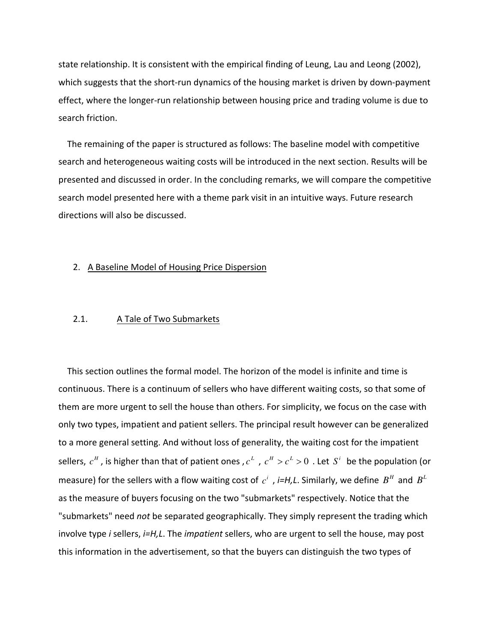state relationship. It is consistent with the empirical finding of Leung, Lau and Leong (2002), which suggests that the short-run dynamics of the housing market is driven by down-payment effect, where the longer‐run relationship between housing price and trading volume is due to search friction.

 The remaining of the paper is structured as follows: The baseline model with competitive search and heterogeneous waiting costs will be introduced in the next section. Results will be presented and discussed in order. In the concluding remarks, we will compare the competitive search model presented here with a theme park visit in an intuitive ways. Future research directions will also be discussed.

#### 2. A Baseline Model of Housing Price Dispersion

#### 2.1. A Tale of Two Submarkets

 This section outlines the formal model. The horizon of the model is infinite and time is continuous. There is a continuum of sellers who have different waiting costs, so that some of them are more urgent to sell the house than others. For simplicity, we focus on the case with only two types, impatient and patient sellers. The principal result however can be generalized to a more general setting. And without loss of generality, the waiting cost for the impatient sellers,  $c^H$  , is higher than that of patient ones ,  $c^L$  ,  $c^H > c^L > 0$  . Let  $S^i$  be the population (or measure) for the sellers with a flow waiting cost of  $c^i$  , *i=H,L*. Similarly, we define  $B^H$  and  $B^L$ as the measure of buyers focusing on the two "submarkets" respectively. Notice that the "submarkets" need *not* be separated geographically. They simply represent the trading which involve type *i* sellers, *i=H,L*. The *impatient* sellers, who are urgent to sell the house, may post this information in the advertisement, so that the buyers can distinguish the two types of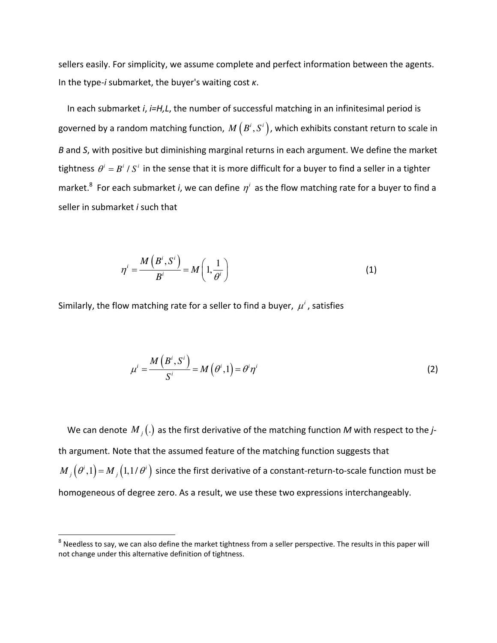sellers easily. For simplicity, we assume complete and perfect information between the agents. In the type‐*i* submarket, the buyer's waiting cost *κ*.

 In each submarket *i*, *i=H,L*, the number of successful matching in an infinitesimal period is governed by a random matching function,  $\,M\left(\,B^{i},S^{i}\,\right)$ , which exhibits constant return to scale in *B* and *S*, with positive but diminishing marginal returns in each argument. We define the market tightness  $\,\theta^i = B^i$  /  $S^i\,$  in the sense that it is more difficult for a buyer to find a seller in a tighter market.<sup>8</sup> For each submarket *i*, we can define  $\eta^i$  as the flow matching rate for a buyer to find a seller in submarket *i* such that

$$
\eta^{i} = \frac{M\left(B^{i}, S^{i}\right)}{B^{i}} = M\left(1, \frac{1}{\theta^{i}}\right)
$$
\n(1)

Similarly, the flow matching rate for a seller to find a buyer,  $\mu^i$ , satisfies

$$
\mu^{i} = \frac{M\left(B^{i}, S^{i}\right)}{S^{i}} = M\left(\theta^{i}, 1\right) = \theta^{i} \eta^{i}
$$
\n(2)

We can denote  $M_{\overline{j}}(.)$  as the first derivative of the matching function M with respect to the *j*th argument. Note that the assumed feature of the matching function suggests that  $M_i(\theta^i,1)$  =  $M_i(1,1/\theta^i)$  since the first derivative of a constant-return-to-scale function must be homogeneous of degree zero. As a result, we use these two expressions interchangeably.

 $^8$  Needless to say, we can also define the market tightness from a seller perspective. The results in this paper will not change under this alternative definition of tightness.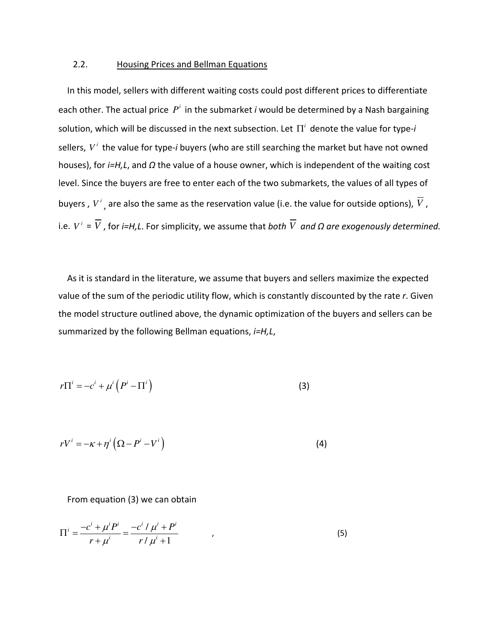#### 2.2. Housing Prices and Bellman Equations

 In this model, sellers with different waiting costs could post different prices to differentiate each other. The actual price  $P^i$  in the submarket *i* would be determined by a Nash bargaining solution, which will be discussed in the next subsection. Let  $\Pi^i$  denote the value for type- $i$ sellers.  $V^i$  the value for type-*i* buyers (who are still searching the market but have not owned houses), for *i=H,L*, and *Ω* the value of a house owner, which is independent of the waiting cost level. Since the buyers are free to enter each of the two submarkets, the values of all types of buyers ,  $V^i$  , are also the same as the reservation value (i.e. the value for outside options),  $V$  , *i.e.*  $V^i = \overline{V}$ , for *i=H,L.* For simplicity, we assume that *both*  $\overline{V}$  *and*  $\Omega$  *are exogenously determined.* 

 As it is standard in the literature, we assume that buyers and sellers maximize the expected value of the sum of the periodic utility flow, which is constantly discounted by the rate *r*. Given the model structure outlined above, the dynamic optimization of the buyers and sellers can be summarized by the following Bellman equations, *i=H,L*,

$$
r\Pi^{i} = -c^{i} + \mu^{i} \left( P^{i} - \Pi^{i} \right)
$$
 (3)

$$
rV^{i} = -\kappa + \eta^{i} \left( \Omega - P^{i} - V^{i} \right)
$$
 (4)

#### From equation (3) we can obtain

$$
\Pi^{i} = \frac{-c^{i} + \mu^{i} P^{i}}{r + \mu^{i}} = \frac{-c^{i} / \mu^{i} + P^{i}}{r / \mu^{i} + 1}
$$
\n(5)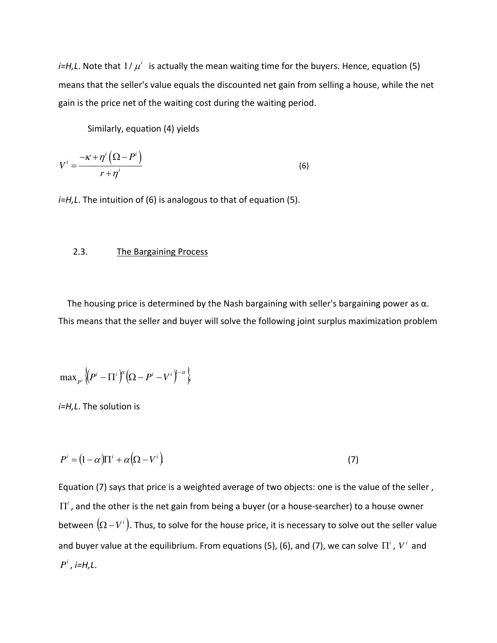*i=H,L*. Note that  $1/\mu^i$  is actually the mean waiting time for the buyers. Hence, equation (5) means that the seller's value equals the discounted net gain from selling a house, while the net gain is the price net of the waiting cost during the waiting period.

Similarly, equation (4) yields

$$
V^{i} = \frac{-\kappa + \eta^{i} \left(\Omega - P^{i}\right)}{r + \eta^{i}}
$$
\n(6)

*i=H,L*. The intuition of (6) is analogous to that of equation (5).

#### 2.3. The Bargaining Process

The housing price is determined by the Nash bargaining with seller's bargaining power as  $\alpha$ . This means that the seller and buyer will solve the following joint surplus maximization problem

$$
\max_{p^i} \left\{ \left( P^i - \Pi^i \right)^\alpha \left( \Omega - P^i - V^i \right)^{1-\alpha} \right\}
$$

*i=H,L*. The solution is

$$
P^{i} = (1 - \alpha)\Pi^{i} + \alpha(\Omega - V^{i})
$$
\n<sup>(7)</sup>

Equation (7) says that price is a weighted average of two objects: one is the value of the seller ,  $\Pi^i$ , and the other is the net gain from being a buyer (or a house-searcher) to a house owner between  $\big(\Omega-V^i\big).$  Thus, to solve for the house price, it is necessary to solve out the seller value and buyer value at the equilibrium. From equations (5), (6), and (7), we can solve  $\Pi^i$  ,  $V^i$  and  $P^i$ , *i*=H, L.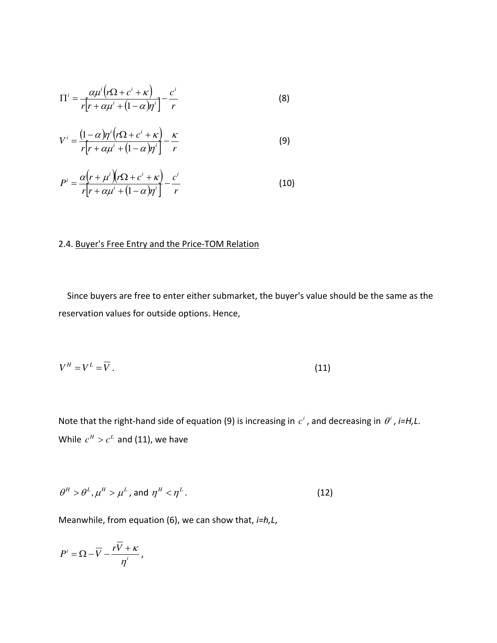$$
\Pi^{i} = \frac{\alpha \mu^{i} (r \Omega + c^{i} + \kappa)}{r [r + \alpha \mu^{i} + (1 - \alpha) \eta^{i}]} - \frac{c^{i}}{r}
$$
 (8)

$$
V^{i} = \frac{(1-\alpha)\eta^{i}(r\Omega + c^{i} + \kappa)}{r[r + \alpha\mu^{i} + (1-\alpha)\eta^{i}]} - \frac{\kappa}{r}
$$
(9)

$$
P^{i} = \frac{\alpha(r + \mu^{i})(r\Omega + c^{i} + \kappa)}{r[r + \alpha\mu^{i} + (1 - \alpha)r^{i}]} - \frac{c^{i}}{r}
$$
(10)

### 2.4. Buyer's Free Entry and the Price‐TOM Relation

 Since buyers are free to enter either submarket, the buyer's value should be the same as the reservation values for outside options. Hence,

$$
V^H = V^L = \overline{V} \tag{11}
$$

Note that the right-hand side of equation (9) is increasing in  $c<sup>i</sup>$  , and decreasing in  $\theta<sup>i</sup>$  , *i=H,L*. While  $c^H > c^L$  and (11), we have

$$
\theta^H > \theta^L, \mu^H > \mu^L, \text{ and } \eta^H < \eta^L. \tag{12}
$$

Meanwhile, from equation (6), we can show that, *i=h,L*,

*i*  $P^i = \Omega - \overline{V} - \frac{rV}{V}$  $\eta$  $=\Omega-\overline{V}-\frac{rV+\kappa}{i},$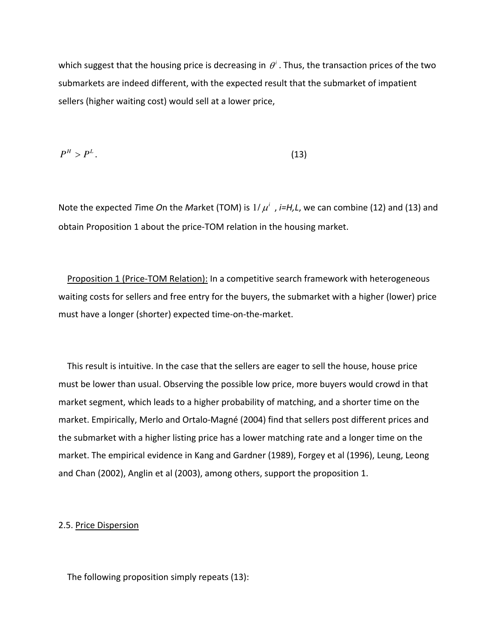which suggest that the housing price is decreasing in  $\theta^i$  . Thus, the transaction prices of the two submarkets are indeed different, with the expected result that the submarket of impatient sellers (higher waiting cost) would sell at a lower price,

$$
P^H > P^L. \tag{13}
$$

Note the expected *T*ime On the Market (TOM) is  $1/\mu^i$  , *i=H,L*, we can combine (12) and (13) and obtain Proposition 1 about the price‐TOM relation in the housing market.

Proposition 1 (Price-TOM Relation): In a competitive search framework with heterogeneous waiting costs for sellers and free entry for the buyers, the submarket with a higher (lower) price must have a longer (shorter) expected time‐on‐the‐market.

 This result is intuitive. In the case that the sellers are eager to sell the house, house price must be lower than usual. Observing the possible low price, more buyers would crowd in that market segment, which leads to a higher probability of matching, and a shorter time on the market. Empirically, Merlo and Ortalo‐Magné (2004) find that sellers post different prices and the submarket with a higher listing price has a lower matching rate and a longer time on the market. The empirical evidence in Kang and Gardner (1989), Forgey et al (1996), Leung, Leong and Chan (2002), Anglin et al (2003), among others, support the proposition 1.

#### 2.5. Price Dispersion

The following proposition simply repeats (13):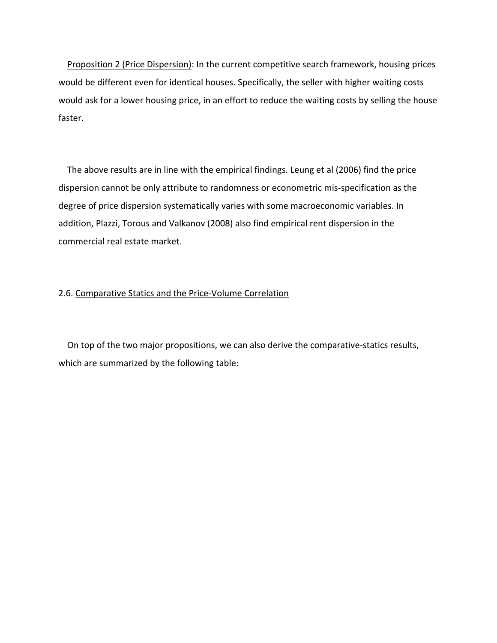Proposition 2 (Price Dispersion): In the current competitive search framework, housing prices would be different even for identical houses. Specifically, the seller with higher waiting costs would ask for a lower housing price, in an effort to reduce the waiting costs by selling the house faster.

 The above results are in line with the empirical findings. Leung et al (2006) find the price dispersion cannot be only attribute to randomness or econometric mis‐specification as the degree of price dispersion systematically varies with some macroeconomic variables. In addition, Plazzi, Torous and Valkanov (2008) also find empirical rent dispersion in the commercial real estate market.

#### 2.6. Comparative Statics and the Price‐Volume Correlation

On top of the two major propositions, we can also derive the comparative-statics results, which are summarized by the following table: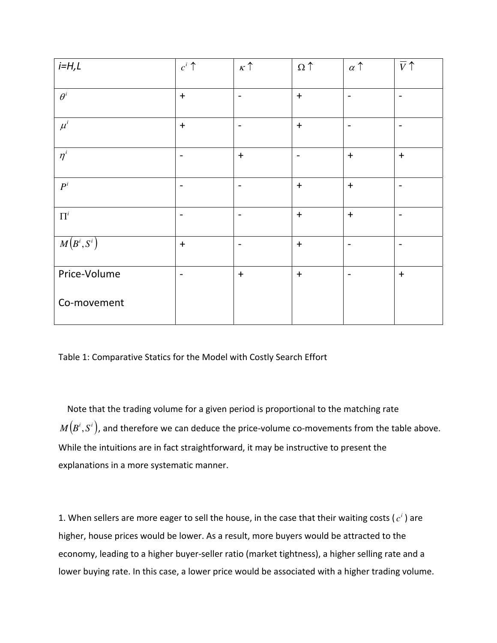| $i=H,L$              | $c^i$ $\uparrow$         | $\kappa$ $\uparrow$          | $\Omega \uparrow$ | $\alpha$ $\uparrow$ | $\overline{V}$           |
|----------------------|--------------------------|------------------------------|-------------------|---------------------|--------------------------|
| $\theta^i$           | $+$                      | $\blacksquare$               | $+$               | $\blacksquare$      | $\overline{\phantom{a}}$ |
| $\mu^i$              | $+$                      | $\qquad \qquad \blacksquare$ | $+$               |                     | $\overline{\phantom{a}}$ |
| $\eta^i$             | $\overline{\phantom{a}}$ | $\ddot{}$                    | $\blacksquare$    | $+$                 | $\ddot{}$                |
| $P^{i}$              | $\overline{\phantom{a}}$ | $\blacksquare$               | $+$               | $\ddot{}$           | $\overline{\phantom{a}}$ |
| $\boldsymbol{\Pi}^i$ | $\overline{\phantom{a}}$ | $\blacksquare$               | $+$               | $+$                 | $\overline{\phantom{a}}$ |
| $M(B^i,S^i)$         | $+$                      |                              | $+$               |                     |                          |
| Price-Volume         | $\overline{\phantom{a}}$ | $+$                          | $+$               | $\blacksquare$      | $+$                      |
| Co-movement          |                          |                              |                   |                     |                          |

Table 1: Comparative Statics for the Model with Costly Search Effort

 Note that the trading volume for a given period is proportional to the matching rate  $M\big(B^{i},S^{i}\big)$ , and therefore we can deduce the price-volume co-movements from the table above. While the intuitions are in fact straightforward, it may be instructive to present the explanations in a more systematic manner.

1. When sellers are more eager to sell the house, in the case that their waiting costs ( $c<sup>i</sup>$  ) are higher, house prices would be lower. As a result, more buyers would be attracted to the economy, leading to a higher buyer‐seller ratio (market tightness), a higher selling rate and a lower buying rate. In this case, a lower price would be associated with a higher trading volume.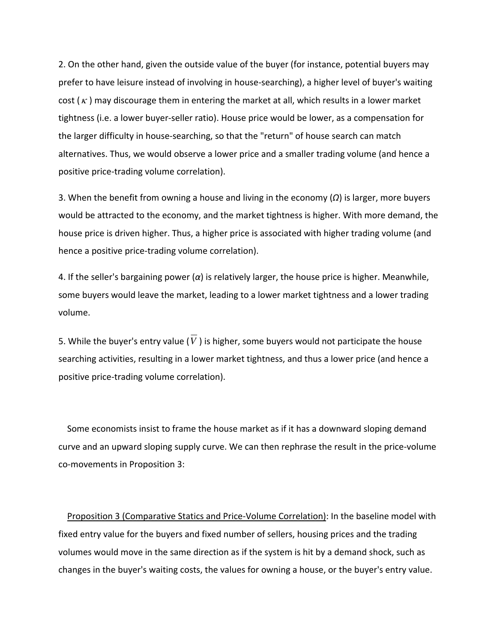2. On the other hand, given the outside value of the buyer (for instance, potential buyers may prefer to have leisure instead of involving in house-searching), a higher level of buyer's waiting cost ( $\kappa$ ) may discourage them in entering the market at all, which results in a lower market tightness (i.e. a lower buyer‐seller ratio). House price would be lower, as a compensation for the larger difficulty in house‐searching, so that the "return" of house search can match alternatives. Thus, we would observe a lower price and a smaller trading volume (and hence a positive price‐trading volume correlation).

3. When the benefit from owning a house and living in the economy (*Ω*) is larger, more buyers would be attracted to the economy, and the market tightness is higher. With more demand, the house price is driven higher. Thus, a higher price is associated with higher trading volume (and hence a positive price‐trading volume correlation).

4. If the seller's bargaining power (*α*) is relatively larger, the house price is higher. Meanwhile, some buyers would leave the market, leading to a lower market tightness and a lower trading volume.

5. While the buyer's entry value ( $\overline{V}$ ) is higher, some buyers would not participate the house searching activities, resulting in a lower market tightness, and thus a lower price (and hence a positive price‐trading volume correlation).

 Some economists insist to frame the house market as if it has a downward sloping demand curve and an upward sloping supply curve. We can then rephrase the result in the price‐volume co‐movements in Proposition 3:

 Proposition 3 (Comparative Statics and Price‐Volume Correlation): In the baseline model with fixed entry value for the buyers and fixed number of sellers, housing prices and the trading volumes would move in the same direction as if the system is hit by a demand shock, such as changes in the buyer's waiting costs, the values for owning a house, or the buyer's entry value.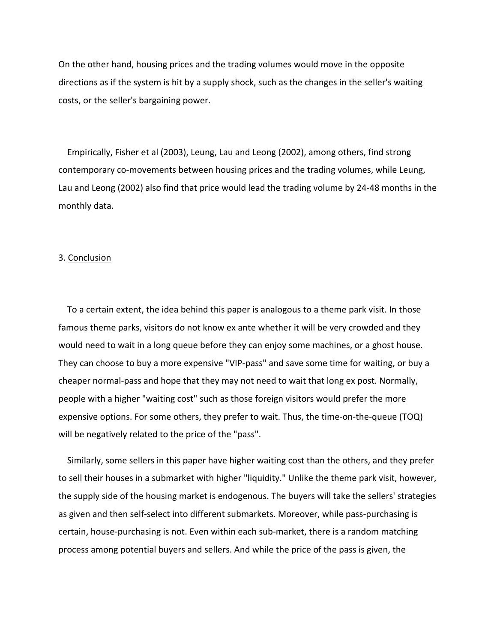On the other hand, housing prices and the trading volumes would move in the opposite directions as if the system is hit by a supply shock, such as the changes in the seller's waiting costs, or the seller's bargaining power.

 Empirically, Fisher et al (2003), Leung, Lau and Leong (2002), among others, find strong contemporary co-movements between housing prices and the trading volumes, while Leung, Lau and Leong (2002) also find that price would lead the trading volume by 24‐48 months in the monthly data.

#### 3. Conclusion

 To a certain extent, the idea behind this paper is analogous to a theme park visit. In those famous theme parks, visitors do not know ex ante whether it will be very crowded and they would need to wait in a long queue before they can enjoy some machines, or a ghost house. They can choose to buy a more expensive "VIP‐pass" and save some time for waiting, or buy a cheaper normal‐pass and hope that they may not need to wait that long ex post. Normally, people with a higher "waiting cost" such as those foreign visitors would prefer the more expensive options. For some others, they prefer to wait. Thus, the time-on-the-queue (TOQ) will be negatively related to the price of the "pass".

 Similarly, some sellers in this paper have higher waiting cost than the others, and they prefer to sell their houses in a submarket with higher "liquidity." Unlike the theme park visit, however, the supply side of the housing market is endogenous. The buyers will take the sellers' strategies as given and then self-select into different submarkets. Moreover, while pass-purchasing is certain, house‐purchasing is not. Even within each sub‐market, there is a random matching process among potential buyers and sellers. And while the price of the pass is given, the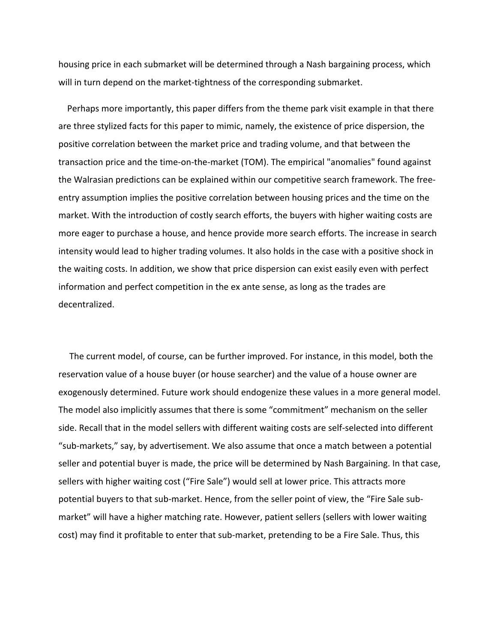housing price in each submarket will be determined through a Nash bargaining process, which will in turn depend on the market-tightness of the corresponding submarket.

 Perhaps more importantly, this paper differs from the theme park visit example in that there are three stylized facts for this paper to mimic, namely, the existence of price dispersion, the positive correlation between the market price and trading volume, and that between the transaction price and the time‐on‐the‐market (TOM). The empirical "anomalies" found against the Walrasian predictions can be explained within our competitive search framework. The free‐ entry assumption implies the positive correlation between housing prices and the time on the market. With the introduction of costly search efforts, the buyers with higher waiting costs are more eager to purchase a house, and hence provide more search efforts. The increase in search intensity would lead to higher trading volumes. It also holds in the case with a positive shock in the waiting costs. In addition, we show that price dispersion can exist easily even with perfect information and perfect competition in the ex ante sense, as long as the trades are decentralized.

The current model, of course, can be further improved. For instance, in this model, both the reservation value of a house buyer (or house searcher) and the value of a house owner are exogenously determined. Future work should endogenize these values in a more general model. The model also implicitly assumes that there is some "commitment" mechanism on the seller side. Recall that in the model sellers with different waiting costs are self‐selected into different "sub‐markets," say, by advertisement. We also assume that once a match between a potential seller and potential buyer is made, the price will be determined by Nash Bargaining. In that case, sellers with higher waiting cost ("Fire Sale") would sell at lower price. This attracts more potential buyers to that sub-market. Hence, from the seller point of view, the "Fire Sale submarket" will have a higher matching rate. However, patient sellers (sellers with lower waiting cost) may find it profitable to enter that sub-market, pretending to be a Fire Sale. Thus, this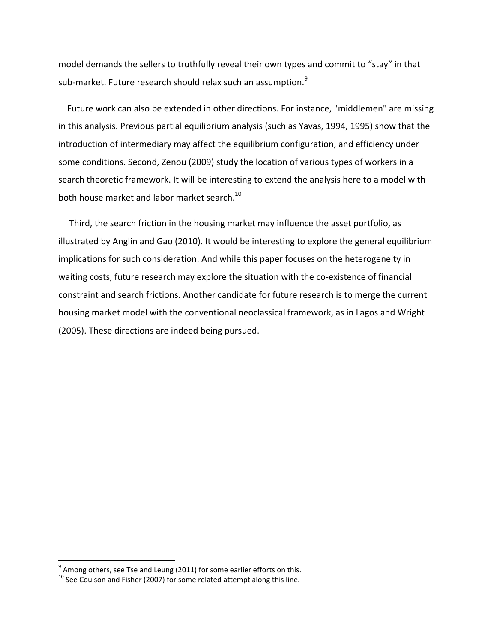model demands the sellers to truthfully reveal their own types and commit to "stay" in that sub-market. Future research should relax such an assumption.<sup>9</sup>

 Future work can also be extended in other directions. For instance, "middlemen" are missing in this analysis. Previous partial equilibrium analysis (such as Yavas, 1994, 1995) show that the introduction of intermediary may affect the equilibrium configuration, and efficiency under some conditions. Second, Zenou (2009) study the location of various types of workers in a search theoretic framework. It will be interesting to extend the analysis here to a model with both house market and labor market search.<sup>10</sup>

Third, the search friction in the housing market may influence the asset portfolio, as illustrated by Anglin and Gao (2010). It would be interesting to explore the general equilibrium implications for such consideration. And while this paper focuses on the heterogeneity in waiting costs, future research may explore the situation with the co-existence of financial constraint and search frictions. Another candidate for future research is to merge the current housing market model with the conventional neoclassical framework, as in Lagos and Wright (2005). These directions are indeed being pursued.

eral mode of the system and the same of the sample of the system of the sample <sup>9</sup> Among others, see Tse and Leung (2011) for some earlier efforts on this.

 $^{10}$  See Coulson and Fisher (2007) for some related attempt along this line.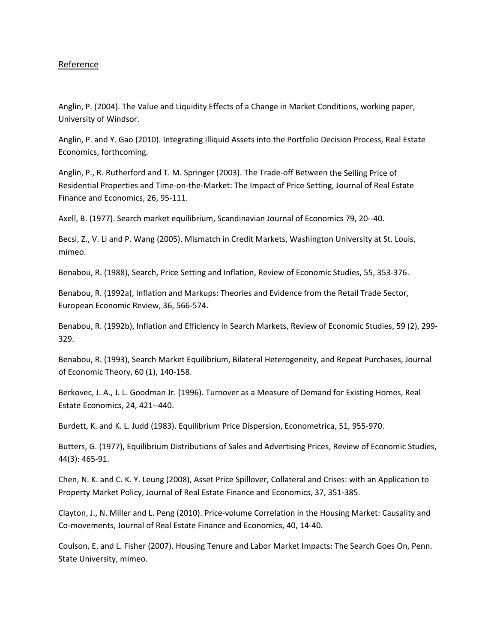#### Reference

Anglin, P. (2004). The Value and Liquidity Effects of a Change in Market Conditions, working paper, University of Windsor.

Anglin, P. and Y. Gao (2010). Integrating Illiquid Assets into the Portfolio Decision Process, Real Estate Economics, forthcoming.

Anglin, P., R. Rutherford and T. M. Springer (2003). The Trade‐off Between the Selling Price of Residential Properties and Time‐on‐the‐Market: The Impact of Price Setting, Journal of Real Estate Finance and Economics, 26, 95‐111.

Axell, B. (1977). Search market equilibrium, Scandinavian Journal of Economics 79, 20‐‐40.

Becsi, Z., V. Li and P. Wang (2005). Mismatch in Credit Markets, Washington University at St. Louis, mimeo.

Benabou, R. (1988), Search, Price Setting and Inflation, Review of Economic Studies, 55, 353‐376.

Benabou, R. (1992a), Inflation and Markups: Theories and Evidence from the Retail Trade Sector, European Economic Review, 36, 566‐574.

Benabou, R. (1992b), Inflation and Efficiency in Search Markets, Review of Economic Studies, 59 (2), 299-329.

Benabou, R. (1993), Search Market Equilibrium, Bilateral Heterogeneity, and Repeat Purchases, Journal of Economic Theory, 60 (1), 140‐158.

Berkovec, J. A., J. L. Goodman Jr. (1996). Turnover as a Measure of Demand for Existing Homes, Real Estate Economics, 24, 421‐‐440.

Burdett, K. and K. L. Judd (1983). Equilibrium Price Dispersion, Econometrica, 51, 955‐970.

Butters, G. (1977), Equilibrium Distributions of Sales and Advertising Prices, Review of Economic Studies, 44(3): 465‐91.

Chen, N. K. and C. K. Y. Leung (2008), Asset Price Spillover, Collateral and Crises: with an Application to Property Market Policy, Journal of Real Estate Finance and Economics, 37, 351‐385.

Clayton, J., N. Miller and L. Peng (2010). Price‐volume Correlation in the Housing Market: Causality and Co‐movements, Journal of Real Estate Finance and Economics, 40, 14‐40.

Coulson, E. and L. Fisher (2007). Housing Tenure and Labor Market Impacts: The Search Goes On, Penn. State University, mimeo.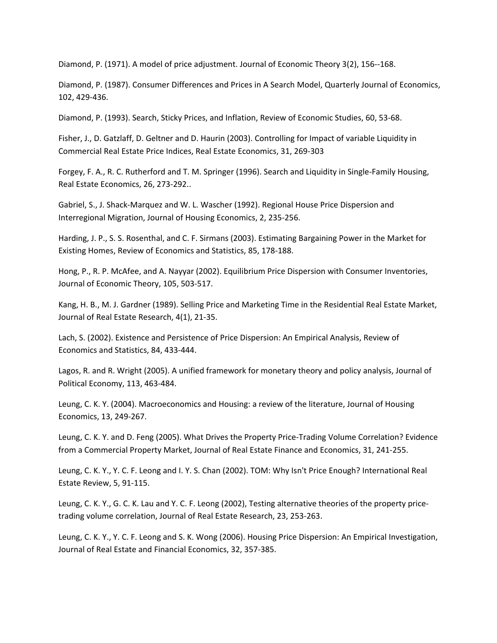Diamond, P. (1971). A model of price adjustment. Journal of Economic Theory 3(2), 156‐‐168.

Diamond, P. (1987). Consumer Differences and Prices in A Search Model, Quarterly Journal of Economics, 102, 429‐436.

Diamond, P. (1993). Search, Sticky Prices, and Inflation, Review of Economic Studies, 60, 53‐68.

Fisher, J., D. Gatzlaff, D. Geltner and D. Haurin (2003). Controlling for Impact of variable Liquidity in Commercial Real Estate Price Indices, Real Estate Economics, 31, 269‐303

Forgey, F. A., R. C. Rutherford and T. M. Springer (1996). Search and Liquidity in Single‐Family Housing, Real Estate Economics, 26, 273‐292..

Gabriel, S., J. Shack‐Marquez and W. L. Wascher (1992). Regional House Price Dispersion and Interregional Migration, Journal of Housing Economics, 2, 235‐256.

Harding, J. P., S. S. Rosenthal, and C. F. Sirmans (2003). Estimating Bargaining Power in the Market for Existing Homes, Review of Economics and Statistics, 85, 178‐188.

Hong, P., R. P. McAfee, and A. Nayyar (2002). Equilibrium Price Dispersion with Consumer Inventories, Journal of Economic Theory, 105, 503‐517.

Kang, H. B., M. J. Gardner (1989). Selling Price and Marketing Time in the Residential Real Estate Market, Journal of Real Estate Research, 4(1), 21‐35.

Lach, S. (2002). Existence and Persistence of Price Dispersion: An Empirical Analysis, Review of Economics and Statistics, 84, 433‐444.

Lagos, R. and R. Wright (2005). A unified framework for monetary theory and policy analysis, Journal of Political Economy, 113, 463‐484.

Leung, C. K. Y. (2004). Macroeconomics and Housing: a review of the literature, Journal of Housing Economics, 13, 249‐267.

Leung, C. K. Y. and D. Feng (2005). What Drives the Property Price-Trading Volume Correlation? Evidence from a Commercial Property Market, Journal of Real Estate Finance and Economics, 31, 241‐255.

Leung, C. K. Y., Y. C. F. Leong and I. Y. S. Chan (2002). TOM: Why Isn't Price Enough? International Real Estate Review, 5, 91‐115.

Leung, C. K. Y., G. C. K. Lau and Y. C. F. Leong (2002), Testing alternative theories of the property price‐ trading volume correlation, Journal of Real Estate Research, 23, 253‐263.

Leung, C. K. Y., Y. C. F. Leong and S. K. Wong (2006). Housing Price Dispersion: An Empirical Investigation, Journal of Real Estate and Financial Economics, 32, 357‐385.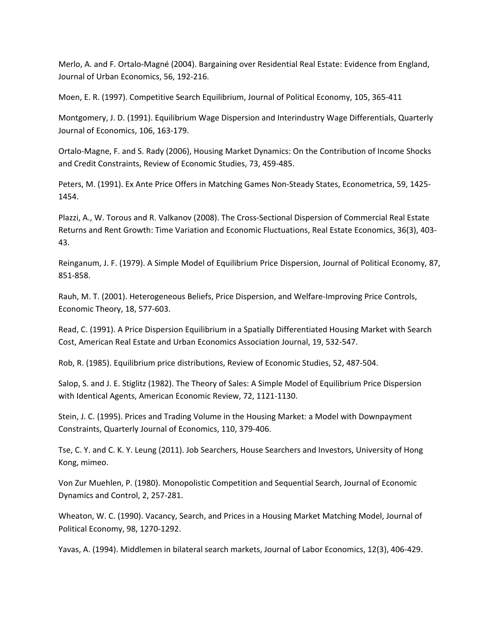Merlo, A. and F. Ortalo‐Magné (2004). Bargaining over Residential Real Estate: Evidence from England, Journal of Urban Economics, 56, 192‐216.

Moen, E. R. (1997). Competitive Search Equilibrium, Journal of Political Economy, 105, 365‐411

Montgomery, J. D. (1991). Equilibrium Wage Dispersion and Interindustry Wage Differentials, Quarterly Journal of Economics, 106, 163‐179.

Ortalo‐Magne, F. and S. Rady (2006), Housing Market Dynamics: On the Contribution of Income Shocks and Credit Constraints, Review of Economic Studies, 73, 459‐485.

Peters, M. (1991). Ex Ante Price Offers in Matching Games Non‐Steady States, Econometrica, 59, 1425‐ 1454.

Plazzi, A., W. Torous and R. Valkanov (2008). The Cross‐Sectional Dispersion of Commercial Real Estate Returns and Rent Growth: Time Variation and Economic Fluctuations, Real Estate Economics, 36(3), 403‐ 43.

Reinganum, J. F. (1979). A Simple Model of Equilibrium Price Dispersion, Journal of Political Economy, 87, 851‐858.

Rauh, M. T. (2001). Heterogeneous Beliefs, Price Dispersion, and Welfare‐Improving Price Controls, Economic Theory, 18, 577‐603.

Read, C. (1991). A Price Dispersion Equilibrium in a Spatially Differentiated Housing Market with Search Cost, American Real Estate and Urban Economics Association Journal, 19, 532‐547.

Rob, R. (1985). Equilibrium price distributions, Review of Economic Studies, 52, 487‐504.

Salop, S. and J. E. Stiglitz (1982). The Theory of Sales: A Simple Model of Equilibrium Price Dispersion with Identical Agents, American Economic Review, 72, 1121‐1130.

Stein, J. C. (1995). Prices and Trading Volume in the Housing Market: a Model with Downpayment Constraints, Quarterly Journal of Economics, 110, 379‐406.

Tse, C. Y. and C. K. Y. Leung (2011). Job Searchers, House Searchers and Investors, University of Hong Kong, mimeo.

Von Zur Muehlen, P. (1980). Monopolistic Competition and Sequential Search, Journal of Economic Dynamics and Control, 2, 257‐281.

Wheaton, W. C. (1990). Vacancy, Search, and Prices in a Housing Market Matching Model, Journal of Political Economy, 98, 1270‐1292.

Yavas, A. (1994). Middlemen in bilateral search markets, Journal of Labor Economics, 12(3), 406‐429.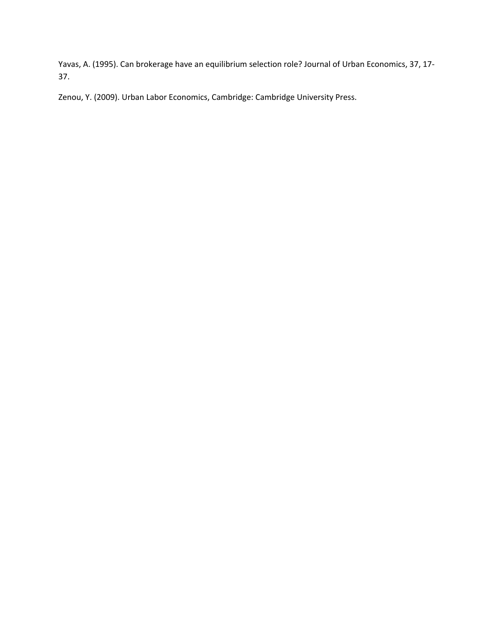Yavas, A. (1995). Can brokerage have an equilibrium selection role? Journal of Urban Economics, 37, 17‐ 37.

Zenou, Y. (2009). Urban Labor Economics, Cambridge: Cambridge University Press.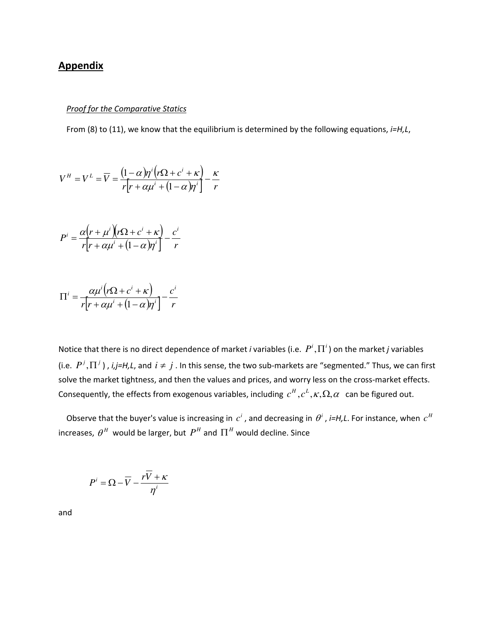## **Appendix**

#### *Proof for the Comparative Statics*

From (8) to (11), we know that the equilibrium is determined by the following equations, *i=H,L*,

$$
V^H = V^L = \overline{V} = \frac{(1-\alpha)\eta^i (r\Omega + c^i + \kappa)}{r[r + \alpha\mu^i + (1-\alpha)\eta^i]} - \frac{\kappa}{r}
$$

$$
P^{i} = \frac{\alpha (r + \mu^{i})(r\Omega + c^{i} + \kappa)}{r[r + \alpha \mu^{i} + (1 - \alpha)\eta^{i}]} - \frac{c^{i}}{r}
$$

$$
\Pi^{i} = \frac{\alpha \mu^{i} (r \Omega + c^{i} + \kappa)}{r [r + \alpha \mu^{i} + (1 - \alpha)\eta^{i}]} - \frac{c^{i}}{r}
$$

Notice that there is no direct dependence of market *i* variables (i.e.  $P^i$ ,  $\Pi^i$ ) on the market *j* variables (i.e.  $P^j$ ,  $\Pi^j$ ), *i,j=H,L*, and  $i \neq j$ . In this sense, the two sub-markets are "segmented." Thus, we can first solve the market tightness, and then the values and prices, and worry less on the cross-market effects. Consequently, the effects from exogenous variables, including  $c^H, c^L, \kappa, \Omega, \alpha$  can be figured out.

Observe that the buyer's value is increasing in  $c^i$  , and decreasing in  $\theta^i$  , *i=H,L*. For instance, when  $c^H$ increases,  $\theta^{\textit{H}}$  would be larger, but  $\textit{P}^{\textit{H}}$  and  $\boldsymbol{\Pi}^{\textit{H}}$  would decline. Since

$$
P^i = \Omega - \overline{V} - \frac{r\overline{V} + \kappa}{\eta^i}
$$

and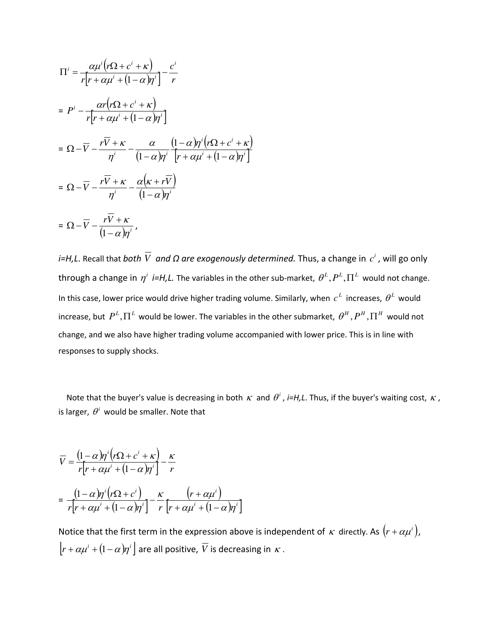$$
\Pi^{i} = \frac{\alpha \mu^{i} (r \Omega + c^{i} + \kappa)}{r[r + \alpha \mu^{i} + (1 - \alpha)\eta^{i}]} - \frac{c^{i}}{r}
$$
\n
$$
= P^{i} - \frac{\alpha r (r \Omega + c^{i} + \kappa)}{r[r + \alpha \mu^{i} + (1 - \alpha)\eta^{i}]}
$$
\n
$$
= \Omega - \overline{V} - \frac{r \overline{V} + \kappa}{\eta^{i}} - \frac{\alpha}{(1 - \alpha)\eta^{i}} \frac{(1 - \alpha)\eta^{i}(r \Omega + c^{i} + \kappa)}{(r + \alpha \mu^{i} + (1 - \alpha)\eta^{i})}
$$
\n
$$
= \Omega - \overline{V} - \frac{r \overline{V} + \kappa}{\eta^{i}} - \frac{\alpha(\kappa + r \overline{V})}{(1 - \alpha)\eta^{i}}
$$
\n
$$
= \Omega - \overline{V} - \frac{r \overline{V} + \kappa}{(1 - \alpha)\eta^{i}},
$$

*i=H,L*. Recall that *both V and Ω <code>are</code> exogenously determined. Thus, a change in*  $c^i$  *, will go only*  $t$ hrough a change in  $\eta^i$  *i=H,L.* The variables in the other sub-market,  $\theta^L, P^L, \Pi^L$  would not change. In this case, lower price would drive higher trading volume. Similarly, when  $c^L$  increases,  $\theta^L$  would increase, but  $P^L,\Pi^L$  would be lower. The variables in the other submarket,  $\theta^H,P^H,\Pi^H$  would not change, and we also have higher trading volume accompanied with lower price. This is in line with responses to supply shocks.

Note that the buyer's value is decreasing in both  $\kappa$  and  $\theta^i$ , *i=H,L*. Thus, if the buyer's waiting cost,  $\kappa$ , is larger,  $\theta^i$  would be smaller. Note that

$$
\overline{V} = \frac{(1-\alpha)\eta^{i}(r\Omega + c^{i} + \kappa)}{r[r + \alpha\mu^{i} + (1-\alpha)\eta^{i}]} - \frac{\kappa}{r}
$$
\n
$$
= \frac{(1-\alpha)\eta^{i}(r\Omega + c^{i})}{r[r + \alpha\mu^{i} + (1-\alpha)\eta^{i}]} - \frac{\kappa}{r}\frac{(r + \alpha\mu^{i})}{[r + \alpha\mu^{i} + (1-\alpha)\eta^{i}]}
$$

Notice that the first term in the expression above is independent of  $\kappa$  directly. As  $(r + \alpha \mu^i)$ ,  $\left[r+\alpha\mu^{i}+\left(1-\alpha\right)\!\eta^{i}\right]$  are all positive,  $\overline{V}$  is decreasing in  $\,\kappa$  .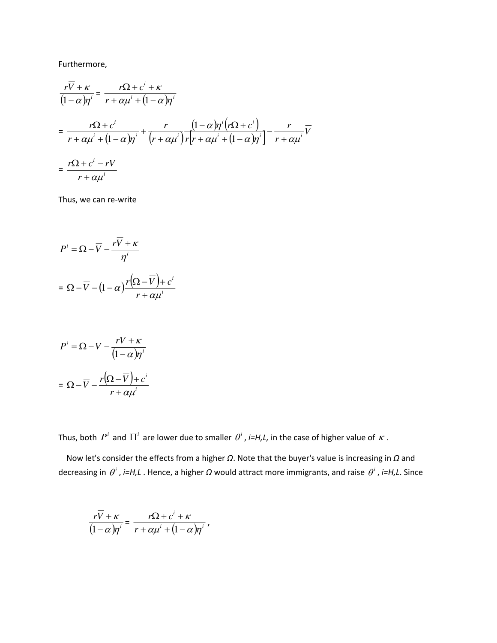Furthermore,

$$
\frac{r\overline{V} + \kappa}{(1 - \alpha)\eta^i} = \frac{r\Omega + c^i + \kappa}{r + \alpha\mu^i + (1 - \alpha)\eta^i}
$$
\n
$$
= \frac{r\Omega + c^i}{r + \alpha\mu^i + (1 - \alpha)\eta^i} + \frac{r}{(r + \alpha\mu^i)\eta^i} \frac{(1 - \alpha)\eta^i (r\Omega + c^i)}{r + \alpha\mu^i + (1 - \alpha)\eta^i} - \frac{r}{r + \alpha\mu^i} \overline{V}
$$
\n
$$
= \frac{r\Omega + c^i - r\overline{V}}{r + \alpha\mu^i}
$$

Thus, we can re‐write

$$
P^{i} = \Omega - \overline{V} - \frac{r\overline{V} + \kappa}{\eta^{i}}
$$

$$
= \Omega - \overline{V} - (1 - \alpha) \frac{r(\Omega - \overline{V}) + c^{i}}{r + \alpha \mu^{i}}
$$

$$
P^{i} = \Omega - \overline{V} - \frac{r\overline{V} + \kappa}{(1 - \alpha)\eta^{i}}
$$

$$
= \Omega - \overline{V} - \frac{r(\Omega - \overline{V}) + c^{i}}{r + \alpha\mu^{i}}
$$

Thus, both  $P^i$  and  $\Pi^i$  are lower due to smaller  $\theta^i$  , *i=H,L*, in the case of higher value of  $\kappa$  .

,

 Now let's consider the effects from a higher *Ω*. Note that the buyer's value is increasing in *Ω* and decreasing in  $\theta^i$  , *i=H,L* . Hence, a higher Ω would attract more immigrants, and raise  $\theta^i$  , *i=H,L*. Since

$$
\frac{r\overline{V} + \kappa}{(1 - \alpha)\eta^i} = \frac{r\Omega + c^i + \kappa}{r + \alpha\mu^i + (1 - \alpha)\eta^i}
$$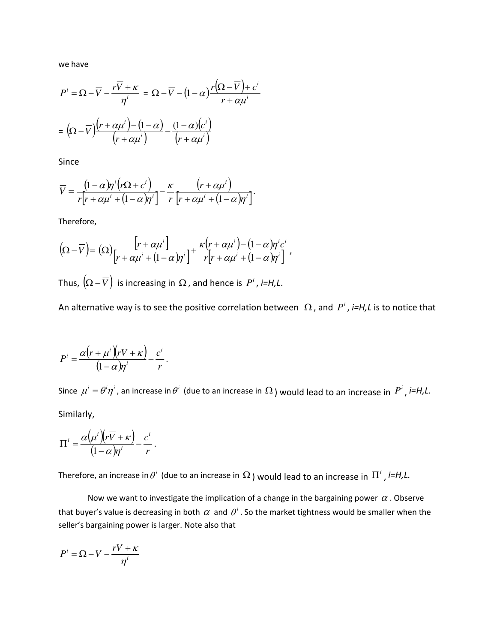we have

$$
P^{i} = \Omega - \overline{V} - \frac{r\overline{V} + \kappa}{\eta^{i}} = \Omega - \overline{V} - (1 - \alpha)\frac{r(\Omega - \overline{V}) + c^{i}}{r + \alpha\mu^{i}}
$$

$$
= (\Omega - \overline{V})\frac{\left(r + \alpha\mu^{i}\right) - (1 - \alpha)}{\left(r + \alpha\mu^{i}\right)} - \frac{(1 - \alpha)(c^{i})}{\left(r + \alpha\mu^{i}\right)}
$$

Since

$$
\overline{V} = \frac{(1-\alpha)\eta^{i}(r\Omega + c^{i})}{r[r+\alpha\mu^{i} + (1-\alpha)\eta^{i}]} - \frac{\kappa}{r} \frac{(r+\alpha\mu^{i})}{[r+\alpha\mu^{i} + (1-\alpha)\eta^{i}]}.
$$

Therefore,

$$
(\Omega-\overline{V})=(\Omega)\frac{\left[r+\alpha\mu^{i}\right]}{\left[r+\alpha\mu^{i}+(1-\alpha)\eta^{i}\right]}+\frac{\kappa(r+\alpha\mu^{i})-(1-\alpha)\eta^{i}c^{i}}{r\left[r+\alpha\mu^{i}+(1-\alpha)\eta^{i}\right]},
$$

Thus,  $\left(\Omega - \overline{V}\right)$  is increasing in  $\Omega$ , and hence is  $P^i$ , *i=H*, *L*.

An alternative way is to see the positive correlation between  $\Omega$ , and  $P^i$ , *i=H,L* is to notice that

$$
P^{i} = \frac{\alpha (r + \mu^{i})(r\overline{V} + \kappa)}{(1 - \alpha)\eta^{i}} - \frac{c^{i}}{r}.
$$

Since  $\mu^i=\theta^i\eta^i$  , an increase in  $\theta^i$  (due to an increase in  $\Omega$  ) would lead to an increase in  $\left.P^i\right.$  , i=H,L. Similarly,

$$
\Pi^{i} = \frac{\alpha(\mu^{i})(r\overline{V} + \kappa)}{(1 - \alpha)\eta^{i}} - \frac{c^{i}}{r}.
$$

Therefore, an increase in  $\theta^i$  (due to an increase in  $\Omega$  ) would lead to an increase in  $\, \Pi^i$  , *i=H,L.* 

Now we want to investigate the implication of a change in the bargaining power  $\alpha$ . Observe that buyer's value is decreasing in both  $\,\alpha\,$  and  $\,\theta^i$  . So the market tightness would be smaller when the seller's bargaining power is larger. Note also that

$$
P^i = \Omega - \overline{V} - \frac{r\overline{V} + \kappa}{\eta^i}
$$